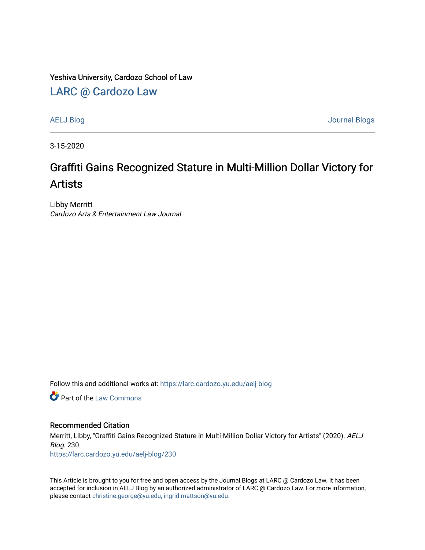Yeshiva University, Cardozo School of Law

[LARC @ Cardozo Law](https://larc.cardozo.yu.edu/)

[AELJ Blog](https://larc.cardozo.yu.edu/aelj-blog) [Journal Blogs](https://larc.cardozo.yu.edu/journal-blogs) 

3-15-2020

## Graffiti Gains Recognized Stature in Multi-Million Dollar Victory for Artists

Libby Merritt Cardozo Arts & Entertainment Law Journal

Follow this and additional works at: [https://larc.cardozo.yu.edu/aelj-blog](https://larc.cardozo.yu.edu/aelj-blog?utm_source=larc.cardozo.yu.edu%2Faelj-blog%2F230&utm_medium=PDF&utm_campaign=PDFCoverPages) 

**C** Part of the [Law Commons](http://network.bepress.com/hgg/discipline/578?utm_source=larc.cardozo.yu.edu%2Faelj-blog%2F230&utm_medium=PDF&utm_campaign=PDFCoverPages)

## Recommended Citation

Merritt, Libby, "Graffiti Gains Recognized Stature in Multi-Million Dollar Victory for Artists" (2020). AELJ Blog. 230.

[https://larc.cardozo.yu.edu/aelj-blog/230](https://larc.cardozo.yu.edu/aelj-blog/230?utm_source=larc.cardozo.yu.edu%2Faelj-blog%2F230&utm_medium=PDF&utm_campaign=PDFCoverPages) 

This Article is brought to you for free and open access by the Journal Blogs at LARC @ Cardozo Law. It has been accepted for inclusion in AELJ Blog by an authorized administrator of LARC @ Cardozo Law. For more information, please contact [christine.george@yu.edu, ingrid.mattson@yu.edu.](mailto:christine.george@yu.edu,%20ingrid.mattson@yu.edu)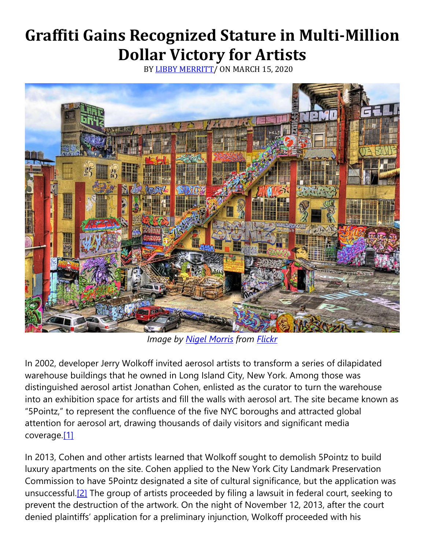## **Graffiti Gains Recognized Stature in Multi-Million Dollar Victory for Artists**

BY [LIBBY MERRITT/](https://cardozoaelj.com/author/libby-merritt/) ON MARCH 15, 2020



*Image by Nigel [Morris](https://www.flickr.com/photos/34639903@N03/) from [Flickr](https://www.flickr.com/)*

In 2002, developer Jerry Wolkoff invited aerosol artists to transform a series of dilapidated warehouse buildings that he owned in Long Island City, New York. Among those was distinguished aerosol artist Jonathan Cohen, enlisted as the curator to turn the warehouse into an exhibition space for artists and fill the walls with aerosol art. The site became known as "5Pointz," to represent the confluence of the five NYC boroughs and attracted global attention for aerosol art, drawing thousands of daily visitors and significant media coverage[.\[1\]](https://cardozoaelj.com/2020/03/15/graffiti-gains-recognized-stature-in-multi-million-dollar-victory-for-artists/#_ftn1)

In 2013, Cohen and other artists learned that Wolkoff sought to demolish 5Pointz to build luxury apartments on the site. Cohen applied to the New York City Landmark Preservation Commission to have 5Pointz designated a site of cultural significance, but the application was unsuccessful[.\[2\]](https://cardozoaelj.com/2020/03/15/graffiti-gains-recognized-stature-in-multi-million-dollar-victory-for-artists/#_ftn2) The group of artists proceeded by filing a lawsuit in federal court, seeking to prevent the destruction of the artwork. On the night of November 12, 2013, after the court denied plaintiffs' application for a preliminary injunction, Wolkoff proceeded with his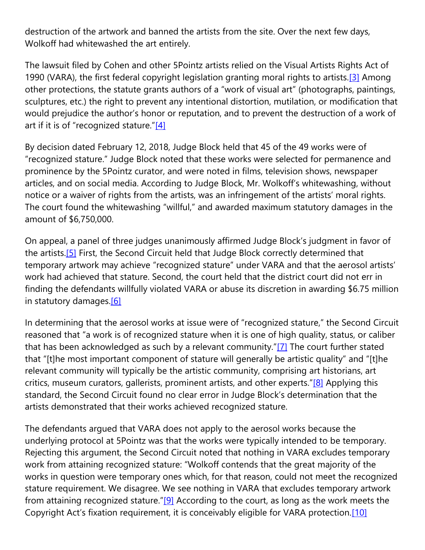destruction of the artwork and banned the artists from the site. Over the next few days, Wolkoff had whitewashed the art entirely.

The lawsuit filed by Cohen and other 5Pointz artists relied on the Visual Artists Rights Act of 1990 (VARA), the first federal copyright legislation granting moral rights to artists.<sup>[3]</sup> Among other protections, the statute grants authors of a "work of visual art" (photographs, paintings, sculptures, etc.) the right to prevent any intentional distortion, mutilation, or modification that would prejudice the author's honor or reputation, and to prevent the destruction of a work of art if it is of "recognized stature." $[4]$ 

By decision dated February 12, 2018, Judge Block held that 45 of the 49 works were of "recognized stature." Judge Block noted that these works were selected for permanence and prominence by the 5Pointz curator, and were noted in films, television shows, newspaper articles, and on social media. According to Judge Block, Mr. Wolkoff's whitewashing, without notice or a waiver of rights from the artists, was an infringement of the artists' moral rights. The court found the whitewashing "willful," and awarded maximum statutory damages in the amount of \$6,750,000.

On appeal, a panel of three judges unanimously affirmed Judge Block's judgment in favor of the artists[.\[5\]](https://cardozoaelj.com/2020/03/15/graffiti-gains-recognized-stature-in-multi-million-dollar-victory-for-artists/#_ftn5) First, the Second Circuit held that Judge Block correctly determined that temporary artwork may achieve "recognized stature" under VARA and that the aerosol artists' work had achieved that stature. Second, the court held that the district court did not err in finding the defendants willfully violated VARA or abuse its discretion in awarding \$6.75 million in statutory damages.<sup>[6]</sup>

In determining that the aerosol works at issue were of "recognized stature," the Second Circuit reasoned that "a work is of recognized stature when it is one of high quality, status, or caliber that has been acknowledged as such by a relevant community." $[7]$  The court further stated that "[t]he most important component of stature will generally be artistic quality" and "[t]he relevant community will typically be the artistic community, comprising art historians, art critics, museum curators, gallerists, prominent artists, and other experts."<sup>[\[8\]](https://cardozoaelj.com/2020/03/15/graffiti-gains-recognized-stature-in-multi-million-dollar-victory-for-artists/#_ftn8)</sup> Applying this standard, the Second Circuit found no clear error in Judge Block's determination that the artists demonstrated that their works achieved recognized stature.

The defendants argued that VARA does not apply to the aerosol works because the underlying protocol at 5Pointz was that the works were typically intended to be temporary. Rejecting this argument, the Second Circuit noted that nothing in VARA excludes temporary work from attaining recognized stature: "Wolkoff contends that the great majority of the works in question were temporary ones which, for that reason, could not meet the recognized stature requirement. We disagree. We see nothing in VARA that excludes temporary artwork from attaining recognized stature."[\[9\]](https://cardozoaelj.com/2020/03/15/graffiti-gains-recognized-stature-in-multi-million-dollar-victory-for-artists/#_ftn9) According to the court, as long as the work meets the Copyright Act's fixation requirement, it is conceivably eligible for VARA protection.<sup>[\[10\]](https://cardozoaelj.com/2020/03/15/graffiti-gains-recognized-stature-in-multi-million-dollar-victory-for-artists/#_ftn10)</sup>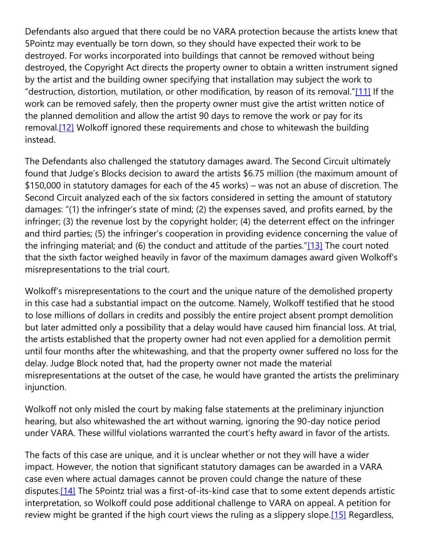Defendants also argued that there could be no VARA protection because the artists knew that 5Pointz may eventually be torn down, so they should have expected their work to be destroyed. For works incorporated into buildings that cannot be removed without being destroyed, the Copyright Act directs the property owner to obtain a written instrument signed by the artist and the building owner specifying that installation may subject the work to "destruction, distortion, mutilation, or other modification, by reason of its removal."[\[11\]](https://cardozoaelj.com/2020/03/15/graffiti-gains-recognized-stature-in-multi-million-dollar-victory-for-artists/#_ftn11) If the work can be removed safely, then the property owner must give the artist written notice of the planned demolition and allow the artist 90 days to remove the work or pay for its removal[.\[12\]](https://cardozoaelj.com/2020/03/15/graffiti-gains-recognized-stature-in-multi-million-dollar-victory-for-artists/#_ftn12) Wolkoff ignored these requirements and chose to whitewash the building instead.

The Defendants also challenged the statutory damages award. The Second Circuit ultimately found that Judge's Blocks decision to award the artists \$6.75 million (the maximum amount of \$150,000 in statutory damages for each of the 45 works) – was not an abuse of discretion. The Second Circuit analyzed each of the six factors considered in setting the amount of statutory damages: "(1) the infringer's state of mind; (2) the expenses saved, and profits earned, by the infringer; (3) the revenue lost by the copyright holder; (4) the deterrent effect on the infringer and third parties; (5) the infringer's cooperation in providing evidence concerning the value of the infringing material; and (6) the conduct and attitude of the parties."[\[13\]](https://cardozoaelj.com/2020/03/15/graffiti-gains-recognized-stature-in-multi-million-dollar-victory-for-artists/#_ftn13) The court noted that the sixth factor weighed heavily in favor of the maximum damages award given Wolkoff's misrepresentations to the trial court.

Wolkoff's misrepresentations to the court and the unique nature of the demolished property in this case had a substantial impact on the outcome. Namely, Wolkoff testified that he stood to lose millions of dollars in credits and possibly the entire project absent prompt demolition but later admitted only a possibility that a delay would have caused him financial loss. At trial, the artists established that the property owner had not even applied for a demolition permit until four months after the whitewashing, and that the property owner suffered no loss for the delay. Judge Block noted that, had the property owner not made the material misrepresentations at the outset of the case, he would have granted the artists the preliminary injunction.

Wolkoff not only misled the court by making false statements at the preliminary injunction hearing, but also whitewashed the art without warning, ignoring the 90-day notice period under VARA. These willful violations warranted the court's hefty award in favor of the artists.

The facts of this case are unique, and it is unclear whether or not they will have a wider impact. However, the notion that significant statutory damages can be awarded in a VARA case even where actual damages cannot be proven could change the nature of these disputes[.\[14\]](https://cardozoaelj.com/2020/03/15/graffiti-gains-recognized-stature-in-multi-million-dollar-victory-for-artists/#_ftn14) The 5Pointz trial was a first-of-its-kind case that to some extent depends artistic interpretation, so Wolkoff could pose additional challenge to VARA on appeal. A petition for review might be granted if the high court views the ruling as a slippery slope.<sup>[15]</sup> Regardless,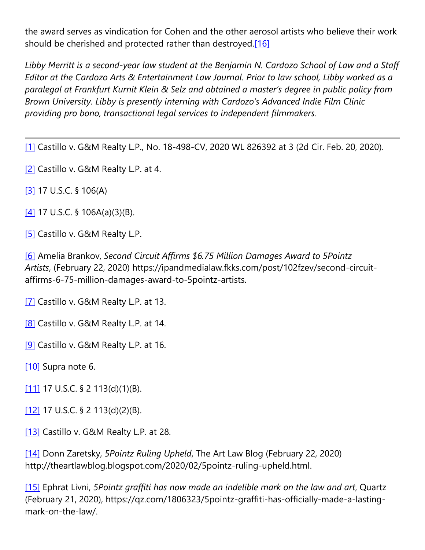the award serves as vindication for Cohen and the other aerosol artists who believe their work should be cherished and protected rather than destroyed.<sup>[16]</sup>

*Libby Merritt is a second-year law student at the Benjamin N. Cardozo School of Law and a Staff Editor at the Cardozo Arts & Entertainment Law Journal. Prior to law school, Libby worked as a paralegal at Frankfurt Kurnit Klein & Selz and obtained a master's degree in public policy from Brown University. Libby is presently interning with Cardozo's Advanced Indie Film Clinic providing pro bono, transactional legal services to independent filmmakers.*

[\[1\]](https://cardozoaelj.com/2020/03/15/graffiti-gains-recognized-stature-in-multi-million-dollar-victory-for-artists/#_ftnref1) Castillo v. G&M Realty L.P., No. 18-498-CV, 2020 WL 826392 at 3 (2d Cir. Feb. 20, 2020).

[\[2\]](https://cardozoaelj.com/2020/03/15/graffiti-gains-recognized-stature-in-multi-million-dollar-victory-for-artists/#_ftnref2) Castillo v. G&M Realty L.P. at 4.

[\[3\]](https://cardozoaelj.com/2020/03/15/graffiti-gains-recognized-stature-in-multi-million-dollar-victory-for-artists/#_ftnref3) 17 U.S.C. § 106(A)

[\[4\]](https://cardozoaelj.com/2020/03/15/graffiti-gains-recognized-stature-in-multi-million-dollar-victory-for-artists/#_ftnref4) 17 U.S.C. § 106A(a)(3)(B).

[\[5\]](https://cardozoaelj.com/2020/03/15/graffiti-gains-recognized-stature-in-multi-million-dollar-victory-for-artists/#_ftnref5) Castillo v. G&M Realty L.P.

[\[6\]](https://cardozoaelj.com/2020/03/15/graffiti-gains-recognized-stature-in-multi-million-dollar-victory-for-artists/#_ftnref6) Amelia Brankov, *Second Circuit Affirms \$6.75 Million Damages Award to 5Pointz Artists*, (February 22, 2020) https://ipandmedialaw.fkks.com/post/102fzev/second-circuitaffirms-6-75-million-damages-award-to-5pointz-artists.

[\[7\]](https://cardozoaelj.com/2020/03/15/graffiti-gains-recognized-stature-in-multi-million-dollar-victory-for-artists/#_ftnref7) Castillo v. G&M Realty L.P. at 13.

[\[8\]](https://cardozoaelj.com/2020/03/15/graffiti-gains-recognized-stature-in-multi-million-dollar-victory-for-artists/#_ftnref8) Castillo v. G&M Realty L.P. at 14.

[\[9\]](https://cardozoaelj.com/2020/03/15/graffiti-gains-recognized-stature-in-multi-million-dollar-victory-for-artists/#_ftnref9) Castillo v. G&M Realty L.P. at 16.

[\[10\]](https://cardozoaelj.com/2020/03/15/graffiti-gains-recognized-stature-in-multi-million-dollar-victory-for-artists/#_ftnref10) Supra note 6.

[ $11$ ] 17 U.S.C. § 2 113(d)(1)(B).

[ $12$ ] 17 U.S.C. § 2 113(d)(2)(B).

[\[13\]](https://cardozoaelj.com/2020/03/15/graffiti-gains-recognized-stature-in-multi-million-dollar-victory-for-artists/#_ftnref13) Castillo v. G&M Realty L.P. at 28.

[\[14\]](https://cardozoaelj.com/2020/03/15/graffiti-gains-recognized-stature-in-multi-million-dollar-victory-for-artists/#_ftnref14) Donn Zaretsky, *5Pointz Ruling Upheld*, The Art Law Blog (February 22, 2020) http://theartlawblog.blogspot.com/2020/02/5pointz-ruling-upheld.html.

[\[15\]](https://cardozoaelj.com/2020/03/15/graffiti-gains-recognized-stature-in-multi-million-dollar-victory-for-artists/#_ftnref15) Ephrat Livni, *5Pointz graffiti has now made an indelible mark on the law and art*, Quartz (February 21, 2020), https://qz.com/1806323/5pointz-graffiti-has-officially-made-a-lastingmark-on-the-law/.